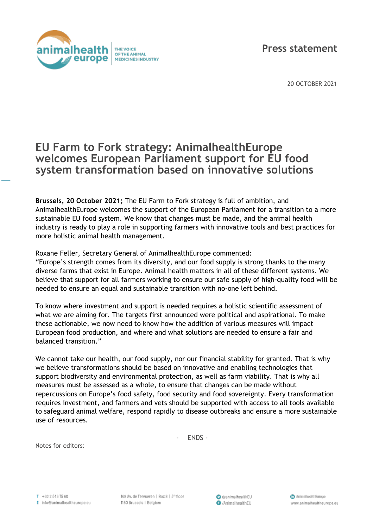

20 OCTOBER 2021

## **EU Farm to Fork strategy: AnimalhealthEurope welcomes European Parliament support for EU food system transformation based on innovative solutions**

**Brussels, 20 October 2021;** The EU Farm to Fork strategy is full of ambition, and AnimalhealthEurope welcomes the support of the European Parliament for a transition to a more sustainable EU food system. We know that changes must be made, and the animal health industry is ready to play a role in supporting farmers with innovative tools and best practices for more holistic animal health management.

Roxane Feller, Secretary General of AnimalhealthEurope commented:

"Europe's strength comes from its diversity, and our food supply is strong thanks to the many diverse farms that exist in Europe. Animal health matters in all of these different systems. We believe that support for all farmers working to ensure our safe supply of high-quality food will be needed to ensure an equal and sustainable transition with no-one left behind.

To know where investment and support is needed requires a holistic scientific assessment of what we are aiming for. The targets first announced were political and aspirational. To make these actionable, we now need to know how the addition of various measures will impact European food production, and where and what solutions are needed to ensure a fair and balanced transition."

We cannot take our health, our food supply, nor our financial stability for granted. That is why we believe transformations should be based on innovative and enabling technologies that support biodiversity and environmental protection, as well as farm viability. That is why all measures must be assessed as a whole, to ensure that changes can be made without repercussions on Europe's food safety, food security and food sovereignty. Every transformation requires investment, and farmers and vets should be supported with access to all tools available to safeguard animal welfare, respond rapidly to disease outbreaks and ensure a more sustainable use of resources.

- ENDS -

Notes for editors: